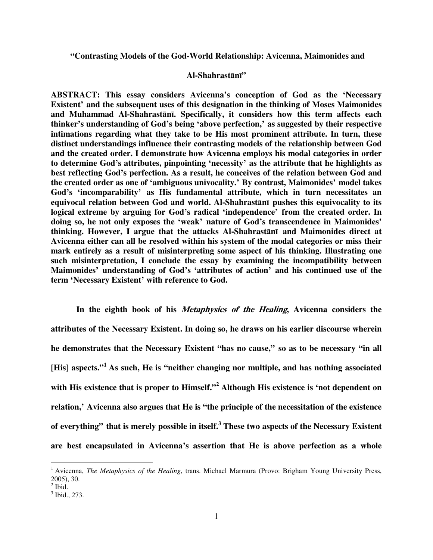**"Contrasting Models of the God-World Relationship: Avicenna, Maimonides and** 

## **Al-Shahrast**ā**n**ī**"**

**ABSTRACT: This essay considers Avicenna's conception of God as the 'Necessary Existent' and the subsequent uses of this designation in the thinking of Moses Maimonides and Muhammad Al-Shahrast**ā**n**ī**. Specifically, it considers how this term affects each thinker's understanding of God's being 'above perfection,' as suggested by their respective intimations regarding what they take to be His most prominent attribute. In turn, these distinct understandings influence their contrasting models of the relationship between God and the created order. I demonstrate how Avicenna employs his modal categories in order to determine God's attributes, pinpointing 'necessity' as the attribute that he highlights as best reflecting God's perfection. As a result, he conceives of the relation between God and the created order as one of 'ambiguous univocality.' By contrast, Maimonides' model takes God's 'incomparability' as His fundamental attribute, which in turn necessitates an equivocal relation between God and world. Al-Shahrast**ā**n**ī **pushes this equivocality to its logical extreme by arguing for God's radical 'independence' from the created order. In doing so, he not only exposes the 'weak' nature of God's transcendence in Maimonides' thinking. However, I argue that the attacks Al-Shahrast**ā**n**ī **and Maimonides direct at Avicenna either can all be resolved within his system of the modal categories or miss their mark entirely as a result of misinterpreting some aspect of his thinking. Illustrating one such misinterpretation, I conclude the essay by examining the incompatibility between Maimonides' understanding of God's 'attributes of action' and his continued use of the term 'Necessary Existent' with reference to God.** 

 **In the eighth book of his Metaphysics of the Healing, Avicenna considers the attributes of the Necessary Existent. In doing so, he draws on his earlier discourse wherein he demonstrates that the Necessary Existent "has no cause," so as to be necessary "in all [His] aspects."<sup>1</sup> As such, He is "neither changing nor multiple, and has nothing associated with His existence that is proper to Himself."<sup>2</sup> Although His existence is 'not dependent on relation,' Avicenna also argues that He is "the principle of the necessitation of the existence of everything" that is merely possible in itself.<sup>3</sup> These two aspects of the Necessary Existent are best encapsulated in Avicenna's assertion that He is above perfection as a whole** 

<sup>&</sup>lt;sup>1</sup> Avicenna, *The Metaphysics of the Healing*, trans. Michael Marmura (Provo: Brigham Young University Press, 2005), 30.

 $<sup>2</sup>$  Ibid.</sup>

<sup>3</sup> Ibid., 273.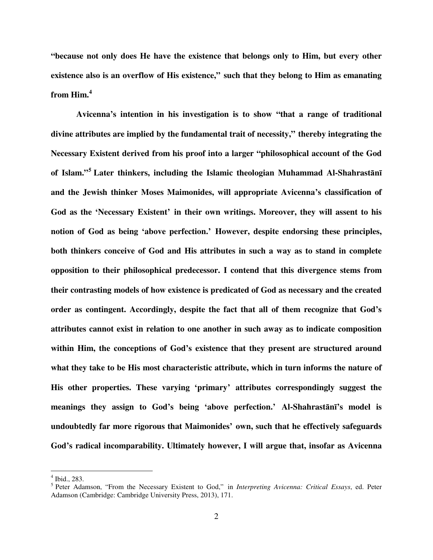**"because not only does He have the existence that belongs only to Him, but every other existence also is an overflow of His existence," such that they belong to Him as emanating from Him.<sup>4</sup>** 

 **Avicenna's intention in his investigation is to show "that a range of traditional divine attributes are implied by the fundamental trait of necessity," thereby integrating the Necessary Existent derived from his proof into a larger "philosophical account of the God of Islam."<sup>5</sup> Later thinkers, including the Islamic theologian Muhammad Al-Shahrast**ā**n**ī **and the Jewish thinker Moses Maimonides, will appropriate Avicenna's classification of God as the 'Necessary Existent' in their own writings. Moreover, they will assent to his notion of God as being 'above perfection.' However, despite endorsing these principles, both thinkers conceive of God and His attributes in such a way as to stand in complete opposition to their philosophical predecessor. I contend that this divergence stems from their contrasting models of how existence is predicated of God as necessary and the created order as contingent. Accordingly, despite the fact that all of them recognize that God's attributes cannot exist in relation to one another in such away as to indicate composition within Him, the conceptions of God's existence that they present are structured around what they take to be His most characteristic attribute, which in turn informs the nature of His other properties. These varying 'primary' attributes correspondingly suggest the meanings they assign to God's being 'above perfection.' Al-Shahrast**ā**n**ī**'s model is undoubtedly far more rigorous that Maimonides' own, such that he effectively safeguards God's radical incomparability. Ultimately however, I will argue that, insofar as Avicenna** 

<sup>4</sup> Ibid., 283.

<sup>5</sup> Peter Adamson, "From the Necessary Existent to God," in *Interpreting Avicenna: Critical Essays*, ed. Peter Adamson (Cambridge: Cambridge University Press, 2013), 171.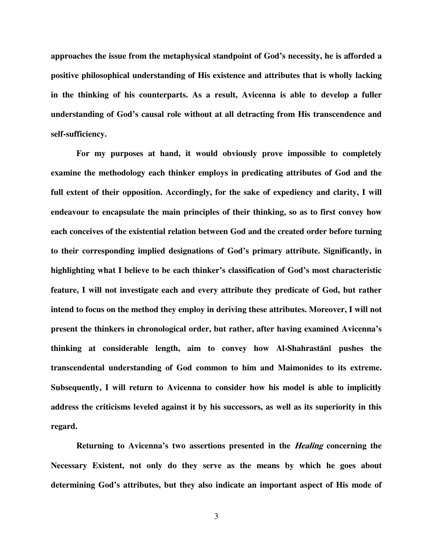**approaches the issue from the metaphysical standpoint of God's necessity, he is afforded a positive philosophical understanding of His existence and attributes that is wholly lacking in the thinking of his counterparts. As a result, Avicenna is able to develop a fuller understanding of God's causal role without at all detracting from His transcendence and self-sufficiency.** 

 **For my purposes at hand, it would obviously prove impossible to completely examine the methodology each thinker employs in predicating attributes of God and the full extent of their opposition. Accordingly, for the sake of expediency and clarity, I will endeavour to encapsulate the main principles of their thinking, so as to first convey how each conceives of the existential relation between God and the created order before turning to their corresponding implied designations of God's primary attribute. Significantly, in highlighting what I believe to be each thinker's classification of God's most characteristic feature, I will not investigate each and every attribute they predicate of God, but rather intend to focus on the method they employ in deriving these attributes. Moreover, I will not present the thinkers in chronological order, but rather, after having examined Avicenna's thinking at considerable length, aim to convey how Al-Shahrast**ā**n**ī **pushes the transcendental understanding of God common to him and Maimonides to its extreme. Subsequently, I will return to Avicenna to consider how his model is able to implicitly address the criticisms leveled against it by his successors, as well as its superiority in this regard.** 

**Returning to Avicenna's two assertions presented in the** *Healing* **concerning the Necessary Existent, not only do they serve as the means by which he goes about determining God's attributes, but they also indicate an important aspect of His mode of**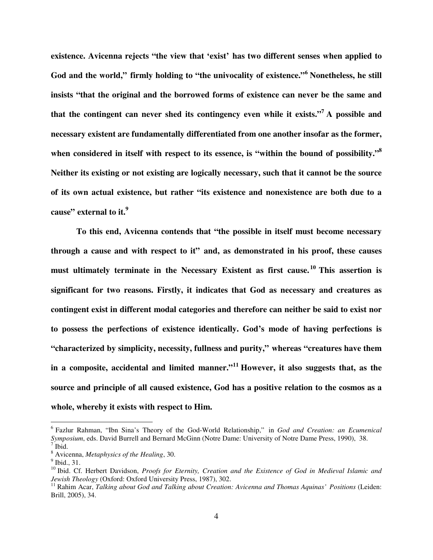**existence. Avicenna rejects "the view that 'exist' has two different senses when applied to God and the world," firmly holding to "the univocality of existence."<sup>6</sup> Nonetheless, he still insists "that the original and the borrowed forms of existence can never be the same and**  that the contingent can never shed its contingency even while it exists."<sup>7</sup> A possible and **necessary existent are fundamentally differentiated from one another insofar as the former, when considered in itself with respect to its essence, is "within the bound of possibility."<sup>8</sup> Neither its existing or not existing are logically necessary, such that it cannot be the source of its own actual existence, but rather "its existence and nonexistence are both due to a cause" external to it.<sup>9</sup>** 

 **To this end, Avicenna contends that "the possible in itself must become necessary through a cause and with respect to it" and, as demonstrated in his proof, these causes must ultimately terminate in the Necessary Existent as first cause. <sup>10</sup> This assertion is significant for two reasons. Firstly, it indicates that God as necessary and creatures as contingent exist in different modal categories and therefore can neither be said to exist nor to possess the perfections of existence identically. God's mode of having perfections is "characterized by simplicity, necessity, fullness and purity," whereas "creatures have them in a composite, accidental and limited manner."<sup>11</sup> However, it also suggests that, as the source and principle of all caused existence, God has a positive relation to the cosmos as a whole, whereby it exists with respect to Him.** 

<sup>6</sup> Fazlur Rahman, "Ibn Sina's Theory of the God-World Relationship," in *God and Creation: an Ecumenical Symposium*, eds. David Burrell and Bernard McGinn (Notre Dame: University of Notre Dame Press, 1990), 38.  $<sup>7</sup>$  Ibid.</sup>

<sup>8</sup> Avicenna, *Metaphysics of the Healing*, 30.

 $<sup>9</sup>$  Ibid., 31.</sup>

<sup>&</sup>lt;sup>10</sup> Ibid. Cf. Herbert Davidson, *Proofs for Eternity, Creation and the Existence of God in Medieval Islamic and Jewish Theology* (Oxford: Oxford University Press, 1987), 302.

<sup>11</sup> Rahim Acar, *Talking about God and Talking about Creation: Avicenna and Thomas Aquinas' Positions* (Leiden: Brill, 2005), 34.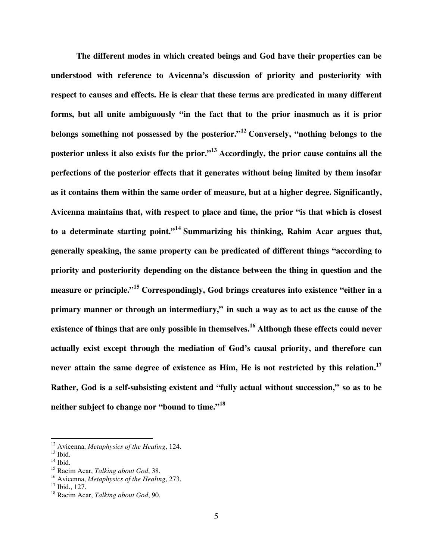**The different modes in which created beings and God have their properties can be understood with reference to Avicenna's discussion of priority and posteriority with respect to causes and effects. He is clear that these terms are predicated in many different forms, but all unite ambiguously "in the fact that to the prior inasmuch as it is prior belongs something not possessed by the posterior."<sup>12</sup> Conversely, "nothing belongs to the posterior unless it also exists for the prior."<sup>13</sup> Accordingly, the prior cause contains all the perfections of the posterior effects that it generates without being limited by them insofar as it contains them within the same order of measure, but at a higher degree. Significantly, Avicenna maintains that, with respect to place and time, the prior "is that which is closest to a determinate starting point."<sup>14</sup> Summarizing his thinking, Rahim Acar argues that, generally speaking, the same property can be predicated of different things "according to priority and posteriority depending on the distance between the thing in question and the measure or principle."<sup>15</sup> Correspondingly, God brings creatures into existence "either in a primary manner or through an intermediary," in such a way as to act as the cause of the existence of things that are only possible in themselves.<sup>16</sup> Although these effects could never actually exist except through the mediation of God's causal priority, and therefore can never attain the same degree of existence as Him, He is not restricted by this relation.<sup>17</sup> Rather, God is a self-subsisting existent and "fully actual without succession," so as to be neither subject to change nor "bound to time."<sup>18</sup>**

<sup>12</sup> Avicenna, *Metaphysics of the Healing*, 124.

 $13$  Ibid.

 $14$  Ibid.

<sup>15</sup> Racim Acar, *Talking about God*, 38.

<sup>16</sup> Avicenna, *Metaphysics of the Healing*, 273.

 $17$  Ibid., 127.

<sup>18</sup> Racim Acar, *Talking about God*, 90.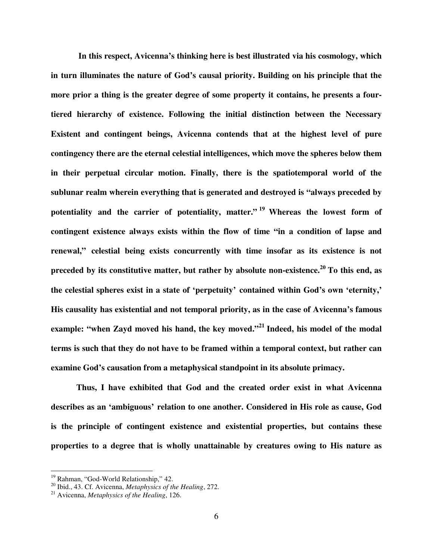**In this respect, Avicenna's thinking here is best illustrated via his cosmology, which in turn illuminates the nature of God's causal priority. Building on his principle that the more prior a thing is the greater degree of some property it contains, he presents a fourtiered hierarchy of existence. Following the initial distinction between the Necessary Existent and contingent beings, Avicenna contends that at the highest level of pure contingency there are the eternal celestial intelligences, which move the spheres below them in their perpetual circular motion. Finally, there is the spatiotemporal world of the sublunar realm wherein everything that is generated and destroyed is "always preceded by potentiality and the carrier of potentiality, matter." <sup>19</sup> Whereas the lowest form of contingent existence always exists within the flow of time "in a condition of lapse and renewal," celestial being exists concurrently with time insofar as its existence is not preceded by its constitutive matter, but rather by absolute non-existence.<sup>20</sup> To this end, as the celestial spheres exist in a state of 'perpetuity' contained within God's own 'eternity,' His causality has existential and not temporal priority, as in the case of Avicenna's famous example: "when Zayd moved his hand, the key moved."<sup>21</sup> Indeed, his model of the modal terms is such that they do not have to be framed within a temporal context, but rather can examine God's causation from a metaphysical standpoint in its absolute primacy.** 

 **Thus, I have exhibited that God and the created order exist in what Avicenna describes as an 'ambiguous' relation to one another. Considered in His role as cause, God is the principle of contingent existence and existential properties, but contains these properties to a degree that is wholly unattainable by creatures owing to His nature as** 

<sup>&</sup>lt;sup>19</sup> Rahman, "God-World Relationship," 42.

<sup>20</sup> Ibid., 43. Cf. Avicenna, *Metaphysics of the Healing*, 272.

<sup>21</sup> Avicenna, *Metaphysics of the Healing*, 126.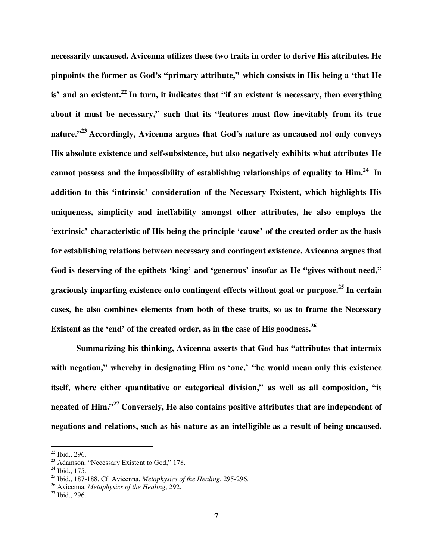**necessarily uncaused. Avicenna utilizes these two traits in order to derive His attributes. He pinpoints the former as God's "primary attribute," which consists in His being a 'that He is' and an existent.<sup>22</sup> In turn, it indicates that "if an existent is necessary, then everything about it must be necessary," such that its "features must flow inevitably from its true nature."<sup>23</sup> Accordingly, Avicenna argues that God's nature as uncaused not only conveys His absolute existence and self-subsistence, but also negatively exhibits what attributes He cannot possess and the impossibility of establishing relationships of equality to Him.<sup>24</sup> In addition to this 'intrinsic' consideration of the Necessary Existent, which highlights His uniqueness, simplicity and ineffability amongst other attributes, he also employs the 'extrinsic' characteristic of His being the principle 'cause' of the created order as the basis for establishing relations between necessary and contingent existence. Avicenna argues that God is deserving of the epithets 'king' and 'generous' insofar as He "gives without need," graciously imparting existence onto contingent effects without goal or purpose.<sup>25</sup> In certain cases, he also combines elements from both of these traits, so as to frame the Necessary Existent as the 'end' of the created order, as in the case of His goodness.<sup>26</sup>** 

 **Summarizing his thinking, Avicenna asserts that God has "attributes that intermix with negation," whereby in designating Him as 'one,' "he would mean only this existence itself, where either quantitative or categorical division," as well as all composition, "is negated of Him."<sup>27</sup> Conversely, He also contains positive attributes that are independent of negations and relations, such as his nature as an intelligible as a result of being uncaused.** 

<u>.</u>

 $22$  Ibid., 296.

<sup>&</sup>lt;sup>23</sup> Adamson, "Necessary Existent to God," 178.

 $^{24}$  Ibid., 175.

<sup>25</sup> Ibid., 187-188. Cf. Avicenna, *Metaphysics of the Healing*, 295-296.

<sup>26</sup> Avicenna, *Metaphysics of the Healing*, 292.

 $27$  Ibid., 296.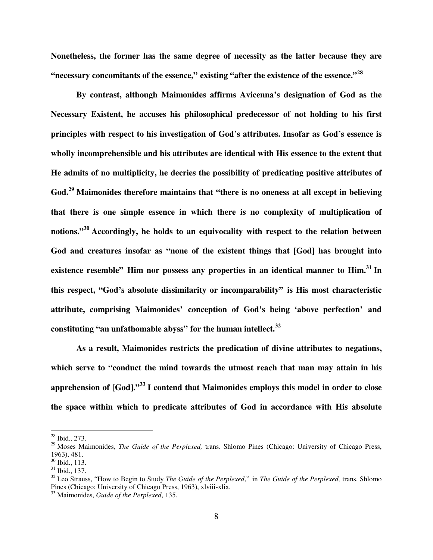**Nonetheless, the former has the same degree of necessity as the latter because they are "necessary concomitants of the essence," existing "after the existence of the essence."<sup>28</sup>** 

 **By contrast, although Maimonides affirms Avicenna's designation of God as the Necessary Existent, he accuses his philosophical predecessor of not holding to his first principles with respect to his investigation of God's attributes. Insofar as God's essence is wholly incomprehensible and his attributes are identical with His essence to the extent that He admits of no multiplicity, he decries the possibility of predicating positive attributes of God.<sup>29</sup> Maimonides therefore maintains that "there is no oneness at all except in believing that there is one simple essence in which there is no complexity of multiplication of notions."<sup>30</sup> Accordingly, he holds to an equivocality with respect to the relation between God and creatures insofar as "none of the existent things that [God] has brought into existence resemble" Him nor possess any properties in an identical manner to Him.<sup>31</sup> In this respect, "God's absolute dissimilarity or incomparability" is His most characteristic attribute, comprising Maimonides' conception of God's being 'above perfection' and constituting "an unfathomable abyss" for the human intellect.<sup>32</sup>** 

 **As a result, Maimonides restricts the predication of divine attributes to negations, which serve to "conduct the mind towards the utmost reach that man may attain in his apprehension of [God]."<sup>33</sup> I contend that Maimonides employs this model in order to close the space within which to predicate attributes of God in accordance with His absolute** 

 $28$  Ibid., 273.

<sup>29</sup> Moses Maimonides, *The Guide of the Perplexed,* trans. Shlomo Pines (Chicago: University of Chicago Press, 1963), 481.

<sup>30</sup> Ibid., 113.

 $31$  Ibid., 137.

<sup>32</sup> Leo Strauss, "How to Begin to Study *The Guide of the Perplexed*," in *The Guide of the Perplexed,* trans. Shlomo Pines (Chicago: University of Chicago Press, 1963), xlviii-xlix.

<sup>33</sup> Maimonides, *Guide of the Perplexed*, 135.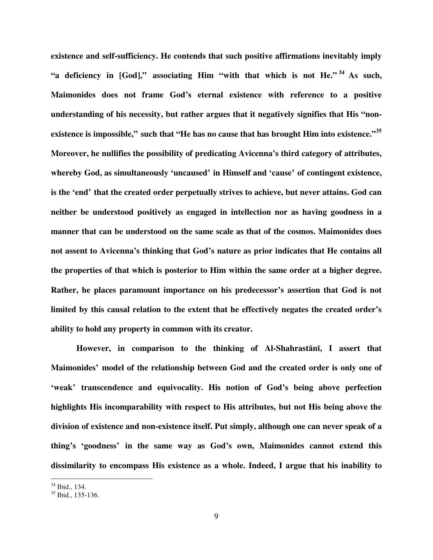**existence and self-sufficiency. He contends that such positive affirmations inevitably imply "a deficiency in [God]," associating Him "with that which is not He." <sup>34</sup> As such, Maimonides does not frame God's eternal existence with reference to a positive understanding of his necessity, but rather argues that it negatively signifies that His "nonexistence is impossible," such that "He has no cause that has brought Him into existence."<sup>35</sup> Moreover, he nullifies the possibility of predicating Avicenna's third category of attributes, whereby God, as simultaneously 'uncaused' in Himself and 'cause' of contingent existence, is the 'end' that the created order perpetually strives to achieve, but never attains. God can neither be understood positively as engaged in intellection nor as having goodness in a manner that can be understood on the same scale as that of the cosmos. Maimonides does not assent to Avicenna's thinking that God's nature as prior indicates that He contains all the properties of that which is posterior to Him within the same order at a higher degree. Rather, he places paramount importance on his predecessor's assertion that God is not limited by this causal relation to the extent that he effectively negates the created order's ability to hold any property in common with its creator.** 

 **However, in comparison to the thinking of Al-Shahrast**ā**n**ī**, I assert that Maimonides' model of the relationship between God and the created order is only one of 'weak' transcendence and equivocality. His notion of God's being above perfection highlights His incomparability with respect to His attributes, but not His being above the division of existence and non-existence itself. Put simply, although one can never speak of a thing's 'goodness' in the same way as God's own, Maimonides cannot extend this dissimilarity to encompass His existence as a whole. Indeed, I argue that his inability to** 

<sup>34</sup> Ibid., 134.

<sup>35</sup> Ibid., 135-136.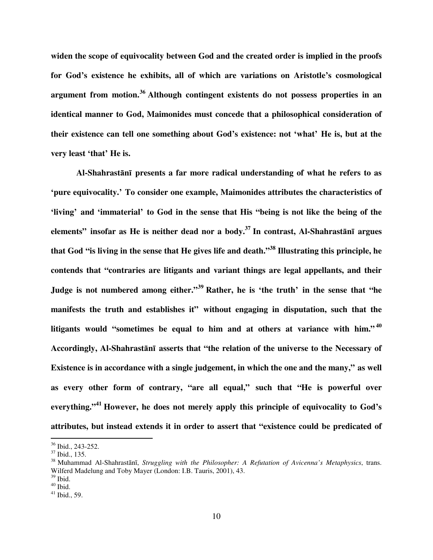**widen the scope of equivocality between God and the created order is implied in the proofs for God's existence he exhibits, all of which are variations on Aristotle's cosmological argument from motion.<sup>36</sup> Although contingent existents do not possess properties in an identical manner to God, Maimonides must concede that a philosophical consideration of their existence can tell one something about God's existence: not 'what' He is, but at the very least 'that' He is.** 

 **Al-Shahrast**ā**n**ī **presents a far more radical understanding of what he refers to as 'pure equivocality.' To consider one example, Maimonides attributes the characteristics of 'living' and 'immaterial' to God in the sense that His "being is not like the being of the elements" insofar as He is neither dead nor a body.<sup>37</sup> In contrast, Al-Shahrast**ā**n**ī **argues that God "is living in the sense that He gives life and death."<sup>38</sup> Illustrating this principle, he contends that "contraries are litigants and variant things are legal appellants, and their Judge is not numbered among either."<sup>39</sup> Rather, he is 'the truth' in the sense that "he manifests the truth and establishes it" without engaging in disputation, such that the litigants would "sometimes be equal to him and at others at variance with him." <sup>40</sup> Accordingly, Al-Shahrast**ā**n**ī **asserts that "the relation of the universe to the Necessary of Existence is in accordance with a single judgement, in which the one and the many," as well as every other form of contrary, "are all equal," such that "He is powerful over everything."<sup>41</sup> However, he does not merely apply this principle of equivocality to God's attributes, but instead extends it in order to assert that "existence could be predicated of** 

<sup>36</sup> Ibid., 243-252.

 $37$  Ibid., 135.

<sup>38</sup> Muhammad Al-Shahrastānī, *Struggling with the Philosopher: A Refutation of Avicenna's Metaphysics*, trans. Wilferd Madelung and Toby Mayer (London: I.B. Tauris, 2001), 43.

 $39$  Ibid.

 $40$  Ibid.

<sup>41</sup> Ibid., 59.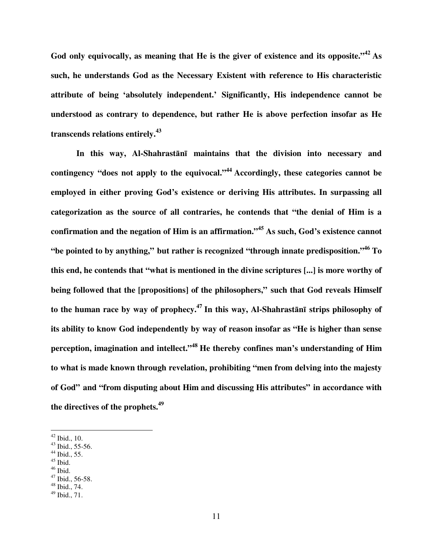**God only equivocally, as meaning that He is the giver of existence and its opposite."<sup>42</sup> As such, he understands God as the Necessary Existent with reference to His characteristic attribute of being 'absolutely independent.' Significantly, His independence cannot be understood as contrary to dependence, but rather He is above perfection insofar as He transcends relations entirely.<sup>43</sup>** 

 **In this way, Al-Shahrast**ā**n**ī **maintains that the division into necessary and contingency "does not apply to the equivocal."<sup>44</sup> Accordingly, these categories cannot be employed in either proving God's existence or deriving His attributes. In surpassing all categorization as the source of all contraries, he contends that "the denial of Him is a confirmation and the negation of Him is an affirmation."<sup>45</sup> As such, God's existence cannot "be pointed to by anything," but rather is recognized "through innate predisposition."<sup>46</sup> To this end, he contends that "what is mentioned in the divine scriptures [...] is more worthy of being followed that the [propositions] of the philosophers," such that God reveals Himself to the human race by way of prophecy.<sup>47</sup> In this way, Al-Shahrast**ā**n**ī **strips philosophy of its ability to know God independently by way of reason insofar as "He is higher than sense perception, imagination and intellect."<sup>48</sup> He thereby confines man's understanding of Him to what is made known through revelation, prohibiting "men from delving into the majesty of God" and "from disputing about Him and discussing His attributes" in accordance with the directives of the prophets.<sup>49</sup>**

- <sup>44</sup> Ibid., 55.
- $45$  Ibid.

 $42$  Ibid., 10.

<sup>43</sup> Ibid., 55-56.

 $46$  Ibid.

 $47$  Ibid., 56-58.

<sup>48</sup> Ibid., 74.

 $49$  Ibid., 71.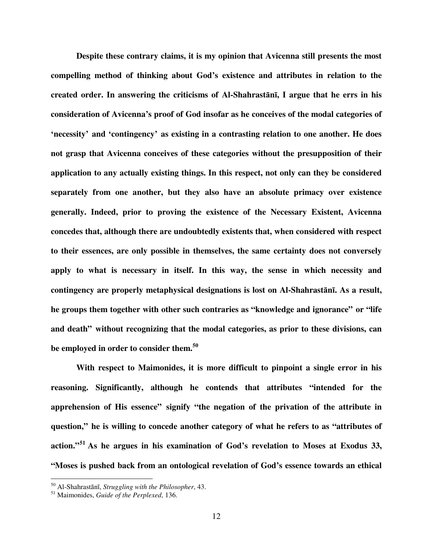**Despite these contrary claims, it is my opinion that Avicenna still presents the most compelling method of thinking about God's existence and attributes in relation to the created order. In answering the criticisms of Al-Shahrast**ā**n**ī**, I argue that he errs in his consideration of Avicenna's proof of God insofar as he conceives of the modal categories of 'necessity' and 'contingency' as existing in a contrasting relation to one another. He does not grasp that Avicenna conceives of these categories without the presupposition of their application to any actually existing things. In this respect, not only can they be considered separately from one another, but they also have an absolute primacy over existence generally. Indeed, prior to proving the existence of the Necessary Existent, Avicenna concedes that, although there are undoubtedly existents that, when considered with respect to their essences, are only possible in themselves, the same certainty does not conversely apply to what is necessary in itself. In this way, the sense in which necessity and contingency are properly metaphysical designations is lost on Al-Shahrast**ā**n**ī**. As a result, he groups them together with other such contraries as "knowledge and ignorance" or "life and death" without recognizing that the modal categories, as prior to these divisions, can be employed in order to consider them.<sup>50</sup>** 

 **With respect to Maimonides, it is more difficult to pinpoint a single error in his reasoning. Significantly, although he contends that attributes "intended for the apprehension of His essence" signify "the negation of the privation of the attribute in question," he is willing to concede another category of what he refers to as "attributes of action."<sup>51</sup> As he argues in his examination of God's revelation to Moses at Exodus 33, "Moses is pushed back from an ontological revelation of God's essence towards an ethical** 

<sup>50</sup> Al-Shahrastānī, *Struggling with the Philosopher*, 43.

<sup>51</sup> Maimonides, *Guide of the Perplexed*, 136.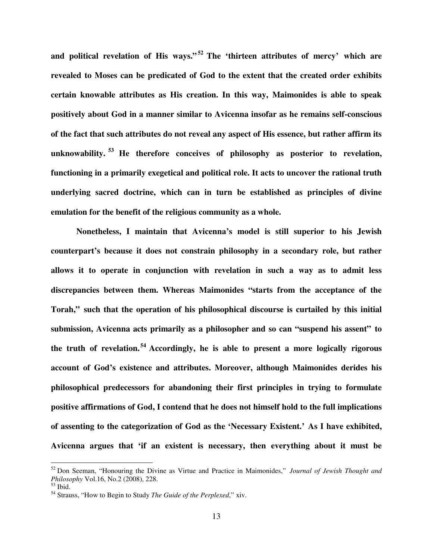**and political revelation of His ways."<sup>52</sup> The 'thirteen attributes of mercy' which are revealed to Moses can be predicated of God to the extent that the created order exhibits certain knowable attributes as His creation. In this way, Maimonides is able to speak positively about God in a manner similar to Avicenna insofar as he remains self-conscious of the fact that such attributes do not reveal any aspect of His essence, but rather affirm its unknowability. <sup>53</sup> He therefore conceives of philosophy as posterior to revelation, functioning in a primarily exegetical and political role. It acts to uncover the rational truth underlying sacred doctrine, which can in turn be established as principles of divine emulation for the benefit of the religious community as a whole.** 

 **Nonetheless, I maintain that Avicenna's model is still superior to his Jewish counterpart's because it does not constrain philosophy in a secondary role, but rather allows it to operate in conjunction with revelation in such a way as to admit less discrepancies between them. Whereas Maimonides "starts from the acceptance of the Torah," such that the operation of his philosophical discourse is curtailed by this initial submission, Avicenna acts primarily as a philosopher and so can "suspend his assent" to the truth of revelation. <sup>54</sup> Accordingly, he is able to present a more logically rigorous account of God's existence and attributes. Moreover, although Maimonides derides his philosophical predecessors for abandoning their first principles in trying to formulate positive affirmations of God, I contend that he does not himself hold to the full implications of assenting to the categorization of God as the 'Necessary Existent.' As I have exhibited, Avicenna argues that 'if an existent is necessary, then everything about it must be** 

<sup>52</sup> Don Seeman, "Honouring the Divine as Virtue and Practice in Maimonides," *Journal of Jewish Thought and Philosophy* Vol.16, No.2 (2008), 228.

<sup>53</sup> Ibid.

<sup>54</sup> Strauss, "How to Begin to Study *The Guide of the Perplexed*," xiv.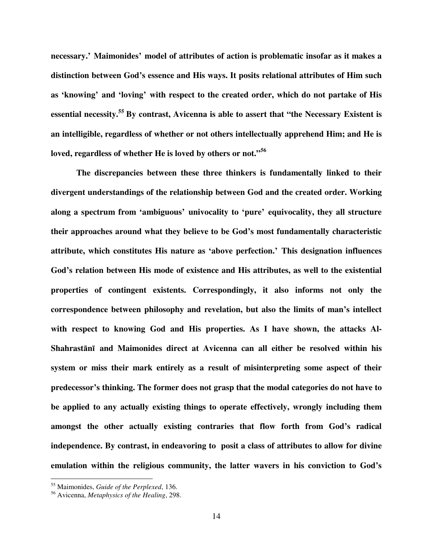**necessary.' Maimonides' model of attributes of action is problematic insofar as it makes a distinction between God's essence and His ways. It posits relational attributes of Him such as 'knowing' and 'loving' with respect to the created order, which do not partake of His essential necessity.<sup>55</sup> By contrast, Avicenna is able to assert that "the Necessary Existent is an intelligible, regardless of whether or not others intellectually apprehend Him; and He is loved, regardless of whether He is loved by others or not."<sup>56</sup>** 

 **The discrepancies between these three thinkers is fundamentally linked to their divergent understandings of the relationship between God and the created order. Working along a spectrum from 'ambiguous' univocality to 'pure' equivocality, they all structure their approaches around what they believe to be God's most fundamentally characteristic attribute, which constitutes His nature as 'above perfection.' This designation influences God's relation between His mode of existence and His attributes, as well to the existential properties of contingent existents. Correspondingly, it also informs not only the correspondence between philosophy and revelation, but also the limits of man's intellect**  with respect to knowing God and His properties. As I have shown, the attacks Al-**Shahrast**ā**n**ī **and Maimonides direct at Avicenna can all either be resolved within his system or miss their mark entirely as a result of misinterpreting some aspect of their predecessor's thinking. The former does not grasp that the modal categories do not have to be applied to any actually existing things to operate effectively, wrongly including them amongst the other actually existing contraries that flow forth from God's radical independence. By contrast, in endeavoring to posit a class of attributes to allow for divine emulation within the religious community, the latter wavers in his conviction to God's** 

<sup>55</sup> Maimonides, *Guide of the Perplexed*, 136.

<sup>56</sup> Avicenna, *Metaphysics of the Healing*, 298.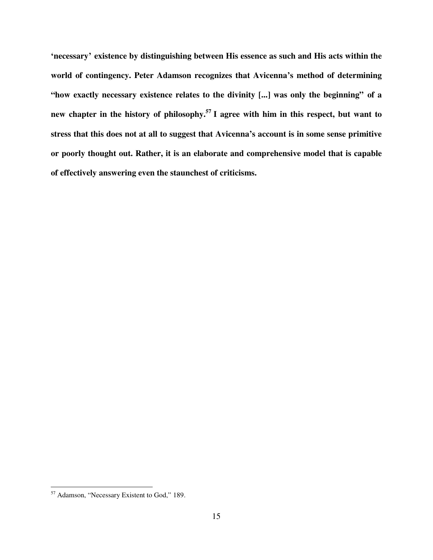**'necessary' existence by distinguishing between His essence as such and His acts within the world of contingency. Peter Adamson recognizes that Avicenna's method of determining "how exactly necessary existence relates to the divinity [...] was only the beginning" of a new chapter in the history of philosophy.<sup>57</sup> I agree with him in this respect, but want to stress that this does not at all to suggest that Avicenna's account is in some sense primitive or poorly thought out. Rather, it is an elaborate and comprehensive model that is capable of effectively answering even the staunchest of criticisms.** 

<sup>&</sup>lt;sup>57</sup> Adamson, "Necessary Existent to God," 189.